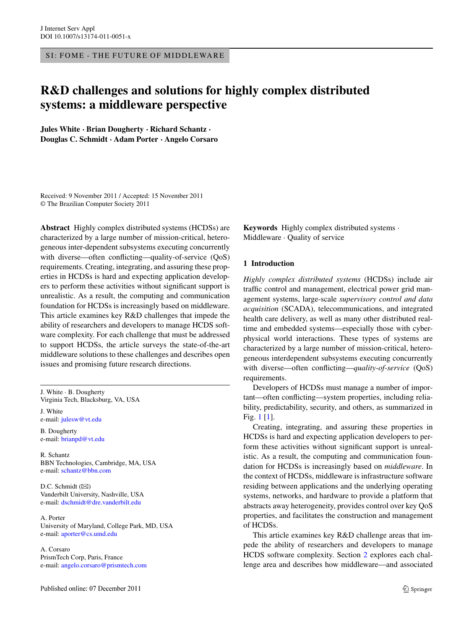SI: FOME - THE FUTURE OF MIDDLEWARE

# **R&D challenges and solutions for highly complex distributed systems: a middleware perspective**

**Jules White · Brian Dougherty · Richard Schantz · Douglas C. Schmidt · Adam Porter · Angelo Corsaro**

Received: 9 November 2011 / Accepted: 15 November 2011 © The Brazilian Computer Society 2011

**Abstract** Highly complex distributed systems (HCDSs) are characterized by a large number of mission-critical, heterogeneous inter-dependent subsystems executing concurrently with diverse—often conflicting—quality-of-service (QoS) requirements. Creating, integrating, and assuring these properties in HCDSs is hard and expecting application developers to perform these activities without significant support is unrealistic. As a result, the computing and communication foundation for HCDSs is increasingly based on middleware. This article examines key R&D challenges that impede the ability of researchers and developers to manage HCDS software complexity. For each challenge that must be addressed to support HCDSs, the article surveys the state-of-the-art middleware solutions to these challenges and describes open issues and promising future research directions.

J. White · B. Dougherty Virginia Tech, Blacksburg, VA, USA

J. White e-mail: [julesw@vt.edu](mailto:julesw@vt.edu)

B. Dougherty e-mail: [brianpd@vt.edu](mailto:brianpd@vt.edu)

R. Schantz BBN Technologies, Cambridge, MA, USA e-mail: [schantz@bbn.com](mailto:schantz@bbn.com)

 $D.C.$  Schmidt  $(\boxtimes)$ Vanderbilt University, Nashville, USA e-mail: [dschmidt@dre.vanderbilt.edu](mailto:dschmidt@dre.vanderbilt.edu)

A. Porter University of Maryland, College Park, MD, USA e-mail: [aporter@cs.umd.edu](mailto:aporter@cs.umd.edu)

A. Corsaro PrismTech Corp, Paris, France e-mail: [angelo.corsaro@prismtech.com](mailto:angelo.corsaro@prismtech.com) **Keywords** Highly complex distributed systems · Middleware · Quality of service

#### **1 Introduction**

*Highly complex distributed systems* (HCDSs) include air traffic control and management, electrical power grid management systems, large-scale *supervisory control and data acquisition* (SCADA), telecommunications, and integrated health care delivery, as well as many other distributed realtime and embedded systems—especially those with cyberphysical world interactions. These types of systems are characterized by a large number of mission-critical, heterogeneous interdependent subsystems executing concurrently with diverse—often conflicting—*quality-of-service* (QoS) requirements.

Developers of HCDSs must manage a number of important—often conflicting—system properties, including reliability, predictability, security, and others, as summarized in Fig. [1](#page-1-0) [[1\]](#page-6-0).

Creating, integrating, and assuring these properties in HCDSs is hard and expecting application developers to perform these activities without significant support is unrealistic. As a result, the computing and communication foundation for HCDSs is increasingly based on *middleware*. In the context of HCDSs, middleware is infrastructure software residing between applications and the underlying operating systems, networks, and hardware to provide a platform that abstracts away heterogeneity, provides control over key QoS properties, and facilitates the construction and management of HCDSs.

This article examines key R&D challenge areas that impede the ability of researchers and developers to manage HCDS software complexity. Section [2](#page-1-1) explores each challenge area and describes how middleware—and associated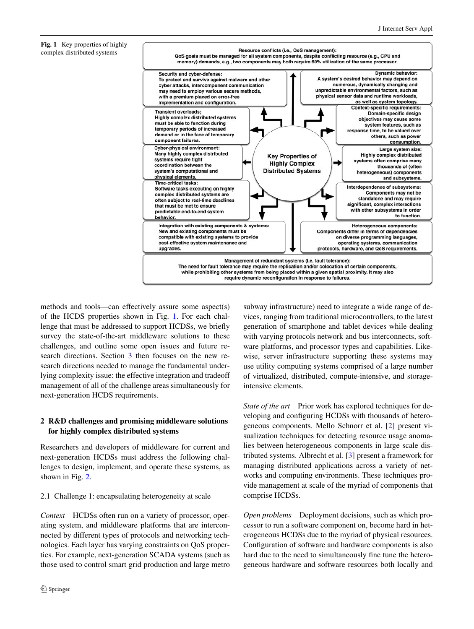<span id="page-1-0"></span>



methods and tools—can effectively assure some aspect(s) of the HCDS properties shown in Fig. [1.](#page-1-0) For each challenge that must be addressed to support HCDSs, we briefly survey the state-of-the-art middleware solutions to these challenges, and outline some open issues and future research directions. Section [3](#page-5-0) then focuses on the new research directions needed to manage the fundamental underlying complexity issue: the effective integration and tradeoff management of all of the challenge areas simultaneously for next-generation HCDS requirements.

# <span id="page-1-1"></span>**2 R&D challenges and promising middleware solutions for highly complex distributed systems**

Researchers and developers of middleware for current and next-generation HCDSs must address the following challenges to design, implement, and operate these systems, as shown in Fig. [2.](#page-2-0)

#### 2.1 Challenge 1: encapsulating heterogeneity at scale

*Context* HCDSs often run on a variety of processor, operating system, and middleware platforms that are interconnected by different types of protocols and networking technologies. Each layer has varying constraints on QoS properties. For example, next-generation SCADA systems (such as those used to control smart grid production and large metro subway infrastructure) need to integrate a wide range of devices, ranging from traditional microcontrollers, to the latest generation of smartphone and tablet devices while dealing with varying protocols network and bus interconnects, software platforms, and processor types and capabilities. Likewise, server infrastructure supporting these systems may use utility computing systems comprised of a large number of virtualized, distributed, compute-intensive, and storageintensive elements.

*State of the art* Prior work has explored techniques for developing and configuring HCDSs with thousands of heterogeneous components. Mello Schnorr et al. [\[2](#page-7-0)] present visualization techniques for detecting resource usage anomalies between heterogeneous components in large scale distributed systems. Albrecht et al. [[3\]](#page-7-1) present a framework for managing distributed applications across a variety of networks and computing environments. These techniques provide management at scale of the myriad of components that comprise HCDSs.

*Open problems* Deployment decisions, such as which processor to run a software component on, become hard in heterogeneous HCDSs due to the myriad of physical resources. Configuration of software and hardware components is also hard due to the need to simultaneously fine tune the heterogeneous hardware and software resources both locally and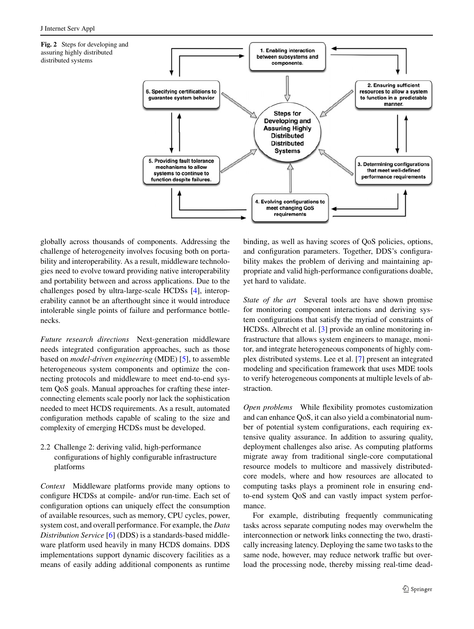<span id="page-2-0"></span>Fig. 2 Steps for developing and assuring highly distributed distributed systems



globally across thousands of components. Addressing the challenge of heterogeneity involves focusing both on portability and interoperability. As a result, middleware technologies need to evolve toward providing native interoperability and portability between and across applications. Due to the challenges posed by ultra-large-scale HCDSs [[4\]](#page-7-2), interoperability cannot be an afterthought since it would introduce intolerable single points of failure and performance bottlenecks.

*Future research directions* Next-generation middleware needs integrated configuration approaches, such as those based on *model-driven engineering* (MDE) [[5\]](#page-7-3), to assemble heterogeneous system components and optimize the connecting protocols and middleware to meet end-to-end system QoS goals. Manual approaches for crafting these interconnecting elements scale poorly nor lack the sophistication needed to meet HCDS requirements. As a result, automated configuration methods capable of scaling to the size and complexity of emerging HCDSs must be developed.

2.2 Challenge 2: deriving valid, high-performance configurations of highly configurable infrastructure platforms

*Context* Middleware platforms provide many options to configure HCDSs at compile- and/or run-time. Each set of configuration options can uniquely effect the consumption of available resources, such as memory, CPU cycles, power, system cost, and overall performance. For example, the *Data Distribution Service* [[6\]](#page-7-4) (DDS) is a standards-based middleware platform used heavily in many HCDS domains. DDS implementations support dynamic discovery facilities as a means of easily adding additional components as runtime

binding, as well as having scores of QoS policies, options, and configuration parameters. Together, DDS's configurability makes the problem of deriving and maintaining appropriate and valid high-performance configurations doable, yet hard to validate.

*State of the art* Several tools are have shown promise for monitoring component interactions and deriving system configurations that satisfy the myriad of constraints of HCDSs. Albrecht et al. [[3\]](#page-7-1) provide an online monitoring infrastructure that allows system engineers to manage, monitor, and integrate heterogeneous components of highly complex distributed systems. Lee et al. [\[7\]](#page-7-5) present an integrated modeling and specification framework that uses MDE tools to verify heterogeneous components at multiple levels of abstraction.

*Open problems* While flexibility promotes customization and can enhance QoS, it can also yield a combinatorial number of potential system configurations, each requiring extensive quality assurance. In addition to assuring quality, deployment challenges also arise. As computing platforms migrate away from traditional single-core computational resource models to multicore and massively distributedcore models, where and how resources are allocated to computing tasks plays a prominent role in ensuring endto-end system QoS and can vastly impact system performance.

For example, distributing frequently communicating tasks across separate computing nodes may overwhelm the interconnection or network links connecting the two, drastically increasing latency. Deploying the same two tasks to the same node, however, may reduce network traffic but overload the processing node, thereby missing real-time dead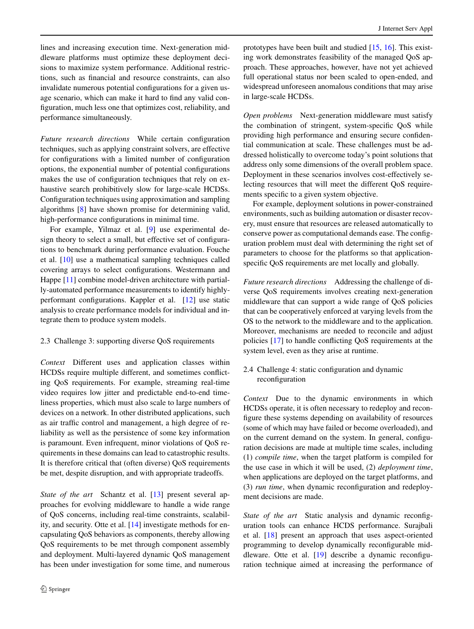lines and increasing execution time. Next-generation middleware platforms must optimize these deployment decisions to maximize system performance. Additional restrictions, such as financial and resource constraints, can also invalidate numerous potential configurations for a given usage scenario, which can make it hard to find any valid configuration, much less one that optimizes cost, reliability, and performance simultaneously.

*Future research directions* While certain configuration techniques, such as applying constraint solvers, are effective for configurations with a limited number of configuration options, the exponential number of potential configurations makes the use of configuration techniques that rely on exhaustive search prohibitively slow for large-scale HCDSs. Configuration techniques using approximation and sampling algorithms [\[8](#page-7-6)] have shown promise for determining valid, high-performance configurations in minimal time.

For example, Yilmaz et al. [\[9](#page-7-7)] use experimental design theory to select a small, but effective set of configurations to benchmark during performance evaluation. Fouche et al. [[10\]](#page-7-8) use a mathematical sampling techniques called covering arrays to select configurations. Westermann and Happe [[11\]](#page-7-9) combine model-driven architecture with partially-automated performance measurements to identify highlyperformant configurations. Kappler et al. [[12\]](#page-7-10) use static analysis to create performance models for individual and integrate them to produce system models.

## 2.3 Challenge 3: supporting diverse QoS requirements

*Context* Different uses and application classes within HCDSs require multiple different, and sometimes conflicting QoS requirements. For example, streaming real-time video requires low jitter and predictable end-to-end timeliness properties, which must also scale to large numbers of devices on a network. In other distributed applications, such as air traffic control and management, a high degree of reliability as well as the persistence of some key information is paramount. Even infrequent, minor violations of QoS requirements in these domains can lead to catastrophic results. It is therefore critical that (often diverse) QoS requirements be met, despite disruption, and with appropriate tradeoffs.

*State of the art* Schantz et al. [\[13](#page-7-11)] present several approaches for evolving middleware to handle a wide range of QoS concerns, including real-time constraints, scalability, and security. Otte et al. [\[14](#page-7-12)] investigate methods for encapsulating QoS behaviors as components, thereby allowing QoS requirements to be met through component assembly and deployment. Multi-layered dynamic QoS management has been under investigation for some time, and numerous prototypes have been built and studied [\[15](#page-7-13), [16\]](#page-7-14). This existing work demonstrates feasibility of the managed QoS approach. These approaches, however, have not yet achieved full operational status nor been scaled to open-ended, and widespread unforeseen anomalous conditions that may arise in large-scale HCDSs.

*Open problems* Next-generation middleware must satisfy the combination of stringent, system-specific QoS while providing high performance and ensuring secure confidential communication at scale. These challenges must be addressed holistically to overcome today's point solutions that address only some dimensions of the overall problem space. Deployment in these scenarios involves cost-effectively selecting resources that will meet the different QoS requirements specific to a given system objective.

For example, deployment solutions in power-constrained environments, such as building automation or disaster recovery, must ensure that resources are released automatically to conserve power as computational demands ease. The configuration problem must deal with determining the right set of parameters to choose for the platforms so that applicationspecific QoS requirements are met locally and globally.

*Future research directions* Addressing the challenge of diverse QoS requirements involves creating next-generation middleware that can support a wide range of QoS policies that can be cooperatively enforced at varying levels from the OS to the network to the middleware and to the application. Moreover, mechanisms are needed to reconcile and adjust policies [\[17](#page-7-15)] to handle conflicting QoS requirements at the system level, even as they arise at runtime.

2.4 Challenge 4: static configuration and dynamic reconfiguration

*Context* Due to the dynamic environments in which HCDSs operate, it is often necessary to redeploy and reconfigure these systems depending on availability of resources (some of which may have failed or become overloaded), and on the current demand on the system. In general, configuration decisions are made at multiple time scales, including (1) *compile time*, when the target platform is compiled for the use case in which it will be used, (2) *deployment time*, when applications are deployed on the target platforms, and (3) *run time*, when dynamic reconfiguration and redeployment decisions are made.

*State of the art* Static analysis and dynamic reconfiguration tools can enhance HCDS performance. Surajbali et al. [\[18](#page-7-16)] present an approach that uses aspect-oriented programming to develop dynamically reconfigurable middleware. Otte et al. [\[19](#page-7-17)] describe a dynamic reconfiguration technique aimed at increasing the performance of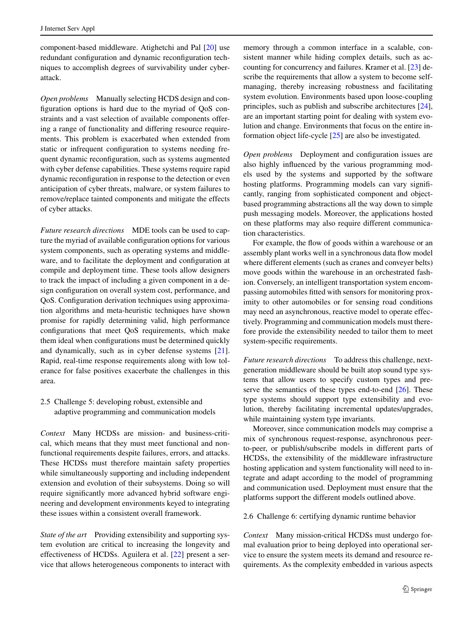component-based middleware. Atighetchi and Pal [\[20](#page-7-18)] use redundant configuration and dynamic reconfiguration techniques to accomplish degrees of survivability under cyberattack.

*Open problems* Manually selecting HCDS design and configuration options is hard due to the myriad of QoS constraints and a vast selection of available components offering a range of functionality and differing resource requirements. This problem is exacerbated when extended from static or infrequent configuration to systems needing frequent dynamic reconfiguration, such as systems augmented with cyber defense capabilities. These systems require rapid dynamic reconfiguration in response to the detection or even anticipation of cyber threats, malware, or system failures to remove/replace tainted components and mitigate the effects of cyber attacks.

*Future research directions* MDE tools can be used to capture the myriad of available configuration options for various system components, such as operating systems and middleware, and to facilitate the deployment and configuration at compile and deployment time. These tools allow designers to track the impact of including a given component in a design configuration on overall system cost, performance, and QoS. Configuration derivation techniques using approximation algorithms and meta-heuristic techniques have shown promise for rapidly determining valid, high performance configurations that meet QoS requirements, which make them ideal when configurations must be determined quickly and dynamically, such as in cyber defense systems [\[21](#page-7-19)]. Rapid, real-time response requirements along with low tolerance for false positives exacerbate the challenges in this area.

# 2.5 Challenge 5: developing robust, extensible and adaptive programming and communication models

*Context* Many HCDSs are mission- and business-critical, which means that they must meet functional and nonfunctional requirements despite failures, errors, and attacks. These HCDSs must therefore maintain safety properties while simultaneously supporting and including independent extension and evolution of their subsystems. Doing so will require significantly more advanced hybrid software engineering and development environments keyed to integrating these issues within a consistent overall framework.

*State of the art* Providing extensibility and supporting system evolution are critical to increasing the longevity and effectiveness of HCDSs. Aguilera et al. [[22\]](#page-7-20) present a service that allows heterogeneous components to interact with memory through a common interface in a scalable, consistent manner while hiding complex details, such as accounting for concurrency and failures. Kramer et al. [[23\]](#page-7-21) describe the requirements that allow a system to become selfmanaging, thereby increasing robustness and facilitating system evolution. Environments based upon loose-coupling principles, such as publish and subscribe architectures [\[24](#page-7-22)], are an important starting point for dealing with system evolution and change. Environments that focus on the entire information object life-cycle [[25\]](#page-7-23) are also be investigated.

*Open problems* Deployment and configuration issues are also highly influenced by the various programming models used by the systems and supported by the software hosting platforms. Programming models can vary significantly, ranging from sophisticated component and objectbased programming abstractions all the way down to simple push messaging models. Moreover, the applications hosted on these platforms may also require different communication characteristics.

For example, the flow of goods within a warehouse or an assembly plant works well in a synchronous data flow model where different elements (such as cranes and conveyer belts) move goods within the warehouse in an orchestrated fashion. Conversely, an intelligent transportation system encompassing automobiles fitted with sensors for monitoring proximity to other automobiles or for sensing road conditions may need an asynchronous, reactive model to operate effectively. Programming and communication models must therefore provide the extensibility needed to tailor them to meet system-specific requirements.

*Future research directions* To address this challenge, nextgeneration middleware should be built atop sound type systems that allow users to specify custom types and preserve the semantics of these types end-to-end  $[26]$  $[26]$ . These type systems should support type extensibility and evolution, thereby facilitating incremental updates/upgrades, while maintaining system type invariants.

Moreover, since communication models may comprise a mix of synchronous request-response, asynchronous peerto-peer, or publish/subscribe models in different parts of HCDSs, the extensibility of the middleware infrastructure hosting application and system functionality will need to integrate and adapt according to the model of programming and communication used. Deployment must ensure that the platforms support the different models outlined above.

## 2.6 Challenge 6: certifying dynamic runtime behavior

*Context* Many mission-critical HCDSs must undergo formal evaluation prior to being deployed into operational service to ensure the system meets its demand and resource requirements. As the complexity embedded in various aspects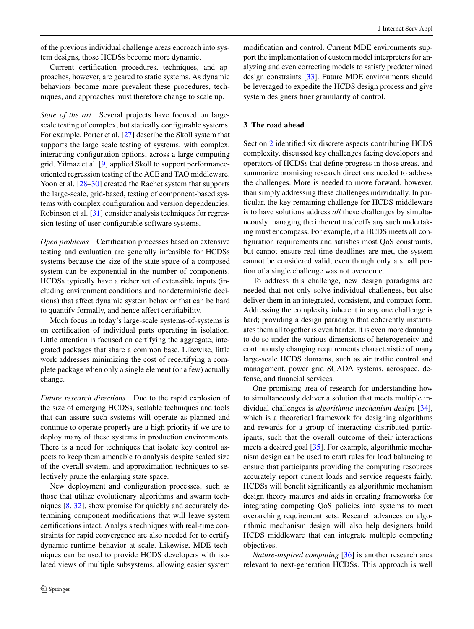of the previous individual challenge areas encroach into system designs, those HCDSs become more dynamic.

Current certification procedures, techniques, and approaches, however, are geared to static systems. As dynamic behaviors become more prevalent these procedures, techniques, and approaches must therefore change to scale up.

*State of the art* Several projects have focused on largescale testing of complex, but statically configurable systems. For example, Porter et al. [[27\]](#page-7-25) describe the Skoll system that supports the large scale testing of systems, with complex, interacting configuration options, across a large computing grid. Yilmaz et al. [[9\]](#page-7-7) applied Skoll to support performanceoriented regression testing of the ACE and TAO middleware. Yoon et al. [[28–](#page-7-26)[30\]](#page-7-27) created the Rachet system that supports the large-scale, grid-based, testing of component-based systems with complex configuration and version dependencies. Robinson et al. [\[31](#page-7-28)] consider analysis techniques for regression testing of user-configurable software systems.

*Open problems* Certification processes based on extensive testing and evaluation are generally infeasible for HCDSs systems because the size of the state space of a composed system can be exponential in the number of components. HCDSs typically have a richer set of extensible inputs (including environment conditions and nondeterministic decisions) that affect dynamic system behavior that can be hard to quantify formally, and hence affect certifiability.

Much focus in today's large-scale systems-of-systems is on certification of individual parts operating in isolation. Little attention is focused on certifying the aggregate, integrated packages that share a common base. Likewise, little work addresses minimizing the cost of recertifying a complete package when only a single element (or a few) actually change.

*Future research directions* Due to the rapid explosion of the size of emerging HCDSs, scalable techniques and tools that can assure such systems will operate as planned and continue to operate properly are a high priority if we are to deploy many of these systems in production environments. There is a need for techniques that isolate key control aspects to keep them amenable to analysis despite scaled size of the overall system, and approximation techniques to selectively prune the enlarging state space.

New deployment and configuration processes, such as those that utilize evolutionary algorithms and swarm techniques [[8,](#page-7-6) [32\]](#page-7-29), show promise for quickly and accurately determining component modifications that will leave system certifications intact. Analysis techniques with real-time constraints for rapid convergence are also needed for to certify dynamic runtime behavior at scale. Likewise, MDE techniques can be used to provide HCDS developers with isolated views of multiple subsystems, allowing easier system <span id="page-5-0"></span>modification and control. Current MDE environments support the implementation of custom model interpreters for analyzing and even correcting models to satisfy predetermined design constraints [\[33](#page-7-30)]. Future MDE environments should be leveraged to expedite the HCDS design process and give system designers finer granularity of control.

### **3 The road ahead**

Section [2](#page-1-1) identified six discrete aspects contributing HCDS complexity, discussed key challenges facing developers and operators of HCDSs that define progress in those areas, and summarize promising research directions needed to address the challenges. More is needed to move forward, however, than simply addressing these challenges individually. In particular, the key remaining challenge for HCDS middleware is to have solutions address *all* these challenges by simultaneously managing the inherent tradeoffs any such undertaking must encompass. For example, if a HCDS meets all configuration requirements and satisfies most QoS constraints, but cannot ensure real-time deadlines are met, the system cannot be considered valid, even though only a small portion of a single challenge was not overcome.

To address this challenge, new design paradigms are needed that not only solve individual challenges, but also deliver them in an integrated, consistent, and compact form. Addressing the complexity inherent in any one challenge is hard; providing a design paradigm that coherently instantiates them all together is even harder. It is even more daunting to do so under the various dimensions of heterogeneity and continuously changing requirements characteristic of many large-scale HCDS domains, such as air traffic control and management, power grid SCADA systems, aerospace, defense, and financial services.

One promising area of research for understanding how to simultaneously deliver a solution that meets multiple individual challenges is *algorithmic mechanism design* [\[34](#page-7-31)], which is a theoretical framework for designing algorithms and rewards for a group of interacting distributed participants, such that the overall outcome of their interactions meets a desired goal [[35\]](#page-7-32). For example, algorithmic mechanism design can be used to craft rules for load balancing to ensure that participants providing the computing resources accurately report current loads and service requests fairly. HCDSs will benefit significantly as algorithmic mechanism design theory matures and aids in creating frameworks for integrating competing QoS policies into systems to meet overarching requirement sets. Research advances on algorithmic mechanism design will also help designers build HCDS middleware that can integrate multiple competing objectives.

*Nature-inspired computing* [\[36](#page-7-33)] is another research area relevant to next-generation HCDSs. This approach is well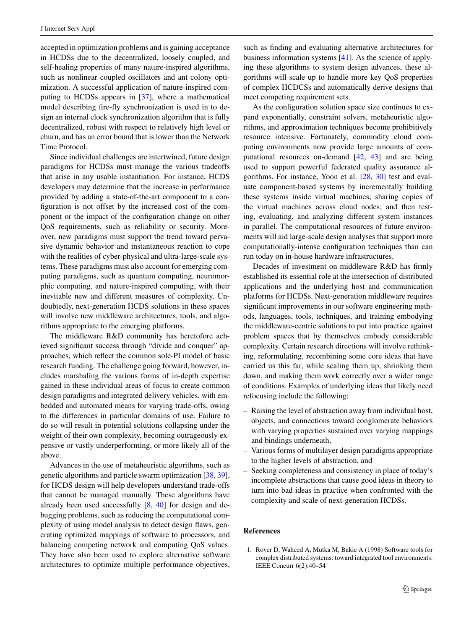accepted in optimization problems and is gaining acceptance in HCDSs due to the decentralized, loosely coupled, and self-healing properties of many nature-inspired algorithms, such as nonlinear coupled oscillators and ant colony optimization. A successful application of nature-inspired computing to HCDSs appears in [[37\]](#page-7-34), where a mathematical model describing fire-fly synchronization is used in to design an internal clock synchronization algorithm that is fully decentralized, robust with respect to relatively high level or churn, and has an error bound that is lower than the Network Time Protocol.

Since individual challenges are intertwined, future design paradigms for HCDSs must manage the various tradeoffs that arise in any usable instantiation. For instance, HCDS developers may determine that the increase in performance provided by adding a state-of-the-art component to a configuration is not offset by the increased cost of the component or the impact of the configuration change on other QoS requirements, such as reliability or security. Moreover, new paradigms must support the trend toward pervasive dynamic behavior and instantaneous reaction to cope with the realities of cyber-physical and ultra-large-scale systems. These paradigms must also account for emerging computing paradigms, such as quantum computing, neuromorphic computing, and nature-inspired computing, with their inevitable new and different measures of complexity. Undoubtedly, next-generation HCDS solutions in these spaces will involve new middleware architectures, tools, and algorithms appropriate to the emerging platforms.

The middleware R&D community has heretofore achieved significant success through "divide and conquer" approaches, which reflect the common sole-PI model of basic research funding. The challenge going forward, however, includes marshaling the various forms of in-depth expertise gained in these individual areas of focus to create common design paradigms and integrated delivery vehicles, with embedded and automated means for varying trade-offs, owing to the differences in particular domains of use. Failure to do so will result in potential solutions collapsing under the weight of their own complexity, becoming outrageously expensive or vastly underperforming, or more likely all of the above.

Advances in the use of metaheuristic algorithms, such as genetic algorithms and particle swarm optimization [[38,](#page-8-0) [39](#page-8-1)], for HCDS design will help developers understand trade-offs that cannot be managed manually. These algorithms have already been used successfully [\[8](#page-7-6), [40\]](#page-8-2) for design and debugging problems, such as reducing the computational complexity of using model analysis to detect design flaws, generating optimized mappings of software to processors, and balancing competing network and computing QoS values. They have also been used to explore alternative software architectures to optimize multiple performance objectives, such as finding and evaluating alternative architectures for business information systems [\[41](#page-8-3)]. As the science of applying these algorithms to system design advances, these algorithms will scale up to handle more key QoS properties of complex HCDCSs and automatically derive designs that meet competing requirement sets.

As the configuration solution space size continues to expand exponentially, constraint solvers, metaheuristic algorithms, and approximation techniques become prohibitively resource intensive. Fortunately, commodity cloud computing environments now provide large amounts of computational resources on-demand [[42,](#page-8-4) [43\]](#page-8-5) and are being used to support powerful federated quality assurance algorithms. For instance, Yoon et al. [[28,](#page-7-26) [30\]](#page-7-27) test and evaluate component-based systems by incrementally building these systems inside virtual machines; sharing copies of the virtual machines across cloud nodes; and then testing, evaluating, and analyzing different system instances in parallel. The computational resources of future environments will aid large-scale design analyses that support more computationally-intense configuration techniques than can run today on in-house hardware infrastructures.

Decades of investment on middleware R&D has firmly established its essential role at the intersection of distributed applications and the underlying host and communication platforms for HCDSs. Next-generation middleware requires significant improvements in our software engineering methods, languages, tools, techniques, and training embodying the middleware-centric solutions to put into practice against problem spaces that by themselves embody considerable complexity. Certain research directions will involve rethinking, reformulating, recombining some core ideas that have carried us this far, while scaling them up, shrinking them down, and making them work correctly over a wider range of conditions. Examples of underlying ideas that likely need refocusing include the following:

- Raising the level of abstraction away from individual host, objects, and connections toward conglomerate behaviors with varying properties sustained over varying mappings and bindings underneath,
- Various forms of multilayer design paradigms appropriate to the higher levels of abstraction, and
- <span id="page-6-0"></span>– Seeking completeness and consistency in place of today's incomplete abstractions that cause good ideas in theory to turn into bad ideas in practice when confronted with the complexity and scale of next-generation HCDSs.

# **References**

1. Rover D, Waheed A, Mutka M, Bakic A (1998) Software tools for complex distributed systems: toward integrated tool environments. IEEE Concurr 6(2):40–54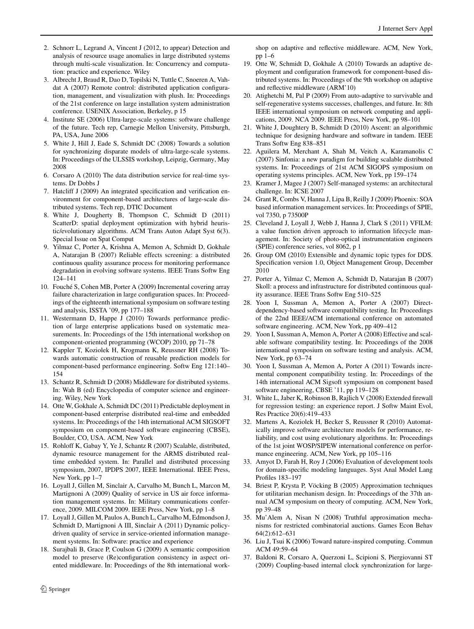- <span id="page-7-2"></span><span id="page-7-1"></span><span id="page-7-0"></span>2. Schnorr L, Legrand A, Vincent J (2012, to appear) Detection and analysis of resource usage anomalies in large distributed systems through multi-scale visualization. In: Concurrency and computation: practice and experience. Wiley
- <span id="page-7-3"></span>3. Albrecht J, Braud R, Dao D, Topilski N, Tuttle C, Snoeren A, Vahdat A (2007) Remote control: distributed application configuration, management, and visualization with plush. In: Proceedings of the 21st conference on large installation system administration conference. USENIX Association, Berkeley, p 15
- <span id="page-7-5"></span><span id="page-7-4"></span>4. Institute SE (2006) Ultra-large-scale systems: software challenge of the future. Tech rep, Carnegie Mellon University, Pittsburgh, PA, USA, June 2006
- <span id="page-7-6"></span>5. White J, Hill J, Eade S, Schmidt DC (2008) Towards a solution for synchronizing disparate models of ultra-large-scale systems. In: Proceedings of the ULSSIS workshop, Leipzig, Germany, May 2008
- <span id="page-7-7"></span>6. Corsaro A (2010) The data distribution service for real-time systems. Dr Dobbs J
- 7. Hatcliff J (2009) An integrated specification and verification environment for component-based architectures of large-scale distributed systems. Tech rep, DTIC Document
- <span id="page-7-8"></span>8. White J, Dougherty B, Thompson C, Schmidt D (2011) ScatterD: spatial deployment optimization with hybrid heuristic/evolutionary algorithms. ACM Trans Auton Adapt Syst 6(3). Special Issue on Spat Comput
- <span id="page-7-9"></span>9. Yilmaz C, Porter A, Krishna A, Memon A, Schmidt D, Gokhale A, Natarajan B (2007) Reliable effects screening: a distributed continuous quality assurance process for monitoring performance degradation in evolving software systems. IEEE Trans Softw Eng 124–141
- <span id="page-7-10"></span>10. Fouché S, Cohen MB, Porter A (2009) Incremental covering array failure characterization in large configuration spaces. In: Proceedings of the eighteenth international symposium on software testing and analysis, ISSTA '09, pp 177–188
- <span id="page-7-12"></span><span id="page-7-11"></span>11. Westermann D, Happe J (2010) Towards performance prediction of large enterprise applications based on systematic measurements. In: Proceedings of the 15th international workshop on component-oriented programming (WCOP) 2010, pp 71–78
- 12. Kappler T, Koziolek H, Krogmann K, Reussner RH (2008) Towards automatic construction of reusable prediction models for component-based performance engineering. Softw Eng 121:140– 154
- <span id="page-7-13"></span>13. Schantz R, Schmidt D (2008) Middleware for distributed systems. In: Wah B (ed) Encyclopedia of computer science and engineering. Wiley, New York
- <span id="page-7-14"></span>14. Otte W, Gokhale A, Schmidt DC (2011) Predictable deployment in component-based enterprise distributed real-time and embedded systems. In: Proceedings of the 14th international ACM SIGSOFT symposium on component-based software engineering (CBSE), Boulder, CO, USA. ACM, New York
- <span id="page-7-15"></span>15. Rohloff K, Gabay Y, Ye J, Schantz R (2007) Scalable, distributed, dynamic resource management for the ARMS distributed realtime embedded system. In: Parallel and distributed processing symposium, 2007, IPDPS 2007, IEEE International. IEEE Press, New York, pp 1–7
- <span id="page-7-16"></span>16. Loyall J, Gillen M, Sinclair A, Carvalho M, Bunch L, Marcon M, Martignoni A (2009) Quality of service in US air force information management systems. In: Military communications conference, 2009. MILCOM 2009. IEEE Press, New York, pp 1–8
- 17. Loyall J, Gillen M, Paulos A, Bunch L, Carvalho M, Edmondson J, Schmidt D, Martignoni A III, Sinclair A (2011) Dynamic policydriven quality of service in service-oriented information management systems. In: Software: practice and experience
- 18. Surajbali B, Grace P, Coulson G (2009) A semantic composition model to preserve (Re)configuration consistency in aspect oriented middleware. In: Proceedings of the 8th international work-

<span id="page-7-17"></span>shop on adaptive and reflective middleware. ACM, New York, pp 1–6

- <span id="page-7-20"></span><span id="page-7-19"></span><span id="page-7-18"></span>19. Otte W, Schmidt D, Gokhale A (2010) Towards an adaptive deployment and configuration framework for component-based distributed systems. In: Proceedings of the 9th workshop on adaptive and reflective middleware (ARM'10)
- <span id="page-7-21"></span>20. Atighetchi M, Pal P (2009) From auto-adaptive to survivable and self-regenerative systems successes, challenges, and future. In: 8th IEEE international symposium on network computing and applications, 2009. NCA 2009. IEEE Press, New York, pp 98–101
- <span id="page-7-22"></span>21. White J, Doughtery B, Schmidt D (2010) Ascent: an algorithmic technique for designing hardware and software in tandem. IEEE Trans Softw Eng 838–851
- <span id="page-7-23"></span>22. Aguilera M, Merchant A, Shah M, Veitch A, Karamanolis C (2007) Sinfonia: a new paradigm for building scalable distributed systems. In: Proceedings of 21st ACM SIGOPS symposium on operating systems principles. ACM, New York, pp 159–174
- <span id="page-7-24"></span>23. Kramer J, Magee J (2007) Self-managed systems: an architectural challenge. In: ICSE 2007
- <span id="page-7-25"></span>24. Grant R, Combs V, Hanna J, Lipa B, Reilly J (2009) Phoenix: SOA based information management services. In: Proceedings of SPIE, vol 7350, p 73500P
- <span id="page-7-26"></span>25. Cleveland J, Loyall J, Webb J, Hanna J, Clark S (2011) VFILM: a value function driven approach to information lifecycle management. In: Society of photo-optical instrumentation engineers (SPIE) conference series, vol 8062, p 1
- 26. Group OM (2010) Extensible and dynamic topic types for DDS. Specification version 1.0, Object Management Group, December 2010
- 27. Porter A, Yilmaz C, Memon A, Schmidt D, Natarajan B (2007) Skoll: a process and infrastructure for distributed continuous quality assurance. IEEE Trans Softw Eng 510–525
- <span id="page-7-27"></span>28. Yoon I, Sussman A, Memon A, Porter A (2007) Directdependency-based software compatibility testing. In: Proceedings of the 22nd IEEE/ACM international conference on automated software engineering. ACM, New York, pp 409–412
- <span id="page-7-29"></span><span id="page-7-28"></span>29. Yoon I, Sussman A, Memon A, Porter A (2008) Effective and scalable software compatibility testing. In: Proceedings of the 2008 international symposium on software testing and analysis. ACM, New York, pp 63–74
- 30. Yoon I, Sussman A, Memon A, Porter A (2011) Towards incremental component compatibility testing. In: Proceedings of the 14th international ACM Sigsoft symposium on component based software engineering, CBSE '11, pp 119–128
- <span id="page-7-30"></span>31. White L, Jaber K, Robinson B, Rajlich V (2008) Extended firewall for regression testing: an experience report. J Softw Maint Evol, Res Practice 20(6):419–433
- <span id="page-7-31"></span>32. Martens A, Koziolek H, Becker S, Reussner R (2010) Automatically improve software architecture models for performance, reliability, and cost using evolutionary algorithms. In: Proceedings of the 1st joint WOSP/SIPEW international conference on performance engineering. ACM, New York, pp 105–116
- <span id="page-7-33"></span><span id="page-7-32"></span>33. Amyot D, Farah H, Roy J (2006) Evaluation of development tools for domain-specific modeling languages. Syst Anal Model Lang Profiles 183–197
- <span id="page-7-34"></span>34. Briest P, Krysta P, Vöcking B (2005) Approximation techniques for utilitarian mechanism design. In: Proceedings of the 37th annual ACM symposium on theory of computing. ACM, New York, pp 39–48
- 35. Mu'Alem A, Nisan N (2008) Truthful approximation mechanisms for restricted combinatorial auctions. Games Econ Behav 64(2):612–631
- 36. Liu J, Tsui K (2006) Toward nature-inspired computing. Commun ACM 49:59–64
- 37. Baldoni R, Corsaro A, Querzoni L, Scipioni S, Piergiovanni ST (2009) Coupling-based internal clock synchronization for large-